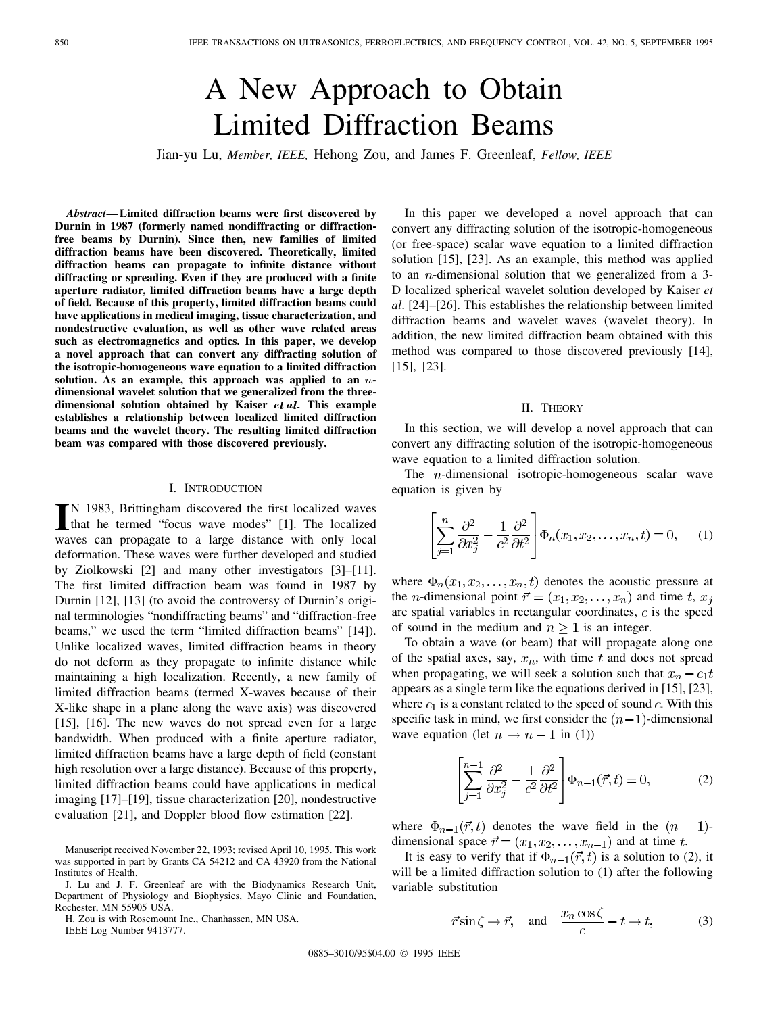# A New Approach to Obtain Limited Diffraction Beams

Jian-yu Lu, *Member, IEEE,* Hehong Zou, and James F. Greenleaf, *Fellow, IEEE*

*Abstract—***Limited diffraction beams were first discovered by Durnin in 1987 (formerly named nondiffracting or diffractionfree beams by Durnin). Since then, new families of limited diffraction beams have been discovered. Theoretically, limited diffraction beams can propagate to infinite distance without diffracting or spreading. Even if they are produced with a finite aperture radiator, limited diffraction beams have a large depth of field. Because of this property, limited diffraction beams could have applications in medical imaging, tissue characterization, and nondestructive evaluation, as well as other wave related areas such as electromagnetics and optics. In this paper, we develop a novel approach that can convert any diffracting solution of the isotropic-homogeneous wave equation to a limited diffraction solution. As an example, this approach was applied to an** n**dimensional wavelet solution that we generalized from the threedimensional solution obtained by Kaiser** et al: **This example establishes a relationship between localized limited diffraction beams and the wavelet theory. The resulting limited diffraction beam was compared with those discovered previously.**

### I. INTRODUCTION

IN 1983, Brittingham discovered the first localized waves<br>that he termed "focus wave modes" [1]. The localized that he termed "focus wave modes" [1]. The localized waves can propagate to a large distance with only local deformation. These waves were further developed and studied by Ziolkowski [2] and many other investigators [3]–[11]. The first limited diffraction beam was found in 1987 by Durnin [12], [13] (to avoid the controversy of Durnin's original terminologies "nondiffracting beams" and "diffraction-free beams," we used the term "limited diffraction beams" [14]). Unlike localized waves, limited diffraction beams in theory do not deform as they propagate to infinite distance while maintaining a high localization. Recently, a new family of limited diffraction beams (termed X-waves because of their X-like shape in a plane along the wave axis) was discovered [15], [16]. The new waves do not spread even for a large bandwidth. When produced with a finite aperture radiator, limited diffraction beams have a large depth of field (constant high resolution over a large distance). Because of this property, limited diffraction beams could have applications in medical imaging [17]–[19], tissue characterization [20], nondestructive evaluation [21], and Doppler blood flow estimation [22].

H. Zou is with Rosemount Inc., Chanhassen, MN USA.

IEEE Log Number 9413777.

In this paper we developed a novel approach that can convert any diffracting solution of the isotropic-homogeneous (or free-space) scalar wave equation to a limited diffraction solution [15], [23]. As an example, this method was applied to an  $n$ -dimensional solution that we generalized from a 3-D localized spherical wavelet solution developed by Kaiser *et al*. [24]–[26]. This establishes the relationship between limited diffraction beams and wavelet waves (wavelet theory). In addition, the new limited diffraction beam obtained with this method was compared to those discovered previously [14], [15], [23].

### II. THEORY

In this section, we will develop a novel approach that can convert any diffracting solution of the isotropic-homogeneous wave equation to a limited diffraction solution.

The  $n$ -dimensional isotropic-homogeneous scalar wave equation is given by

$$
\left[\sum_{j=1}^{n} \frac{\partial^2}{\partial x_j^2} - \frac{1}{c^2} \frac{\partial^2}{\partial t^2}\right] \Phi_n(x_1, x_2, \dots, x_n, t) = 0,\qquad(1)
$$

where  $\Phi_n(x_1, x_2, \dots, x_n, t)$  denotes the acoustic pressure at the *n*-dimensional point  $\vec{r} = (x_1, x_2, \dots, x_n)$  and time t,  $x_j$ are spatial variables in rectangular coordinates,  $c$  is the speed of sound in the medium and  $n \geq 1$  is an integer.

To obtain a wave (or beam) that will propagate along one of the spatial axes, say,  $x_n$ , with time t and does not spread when propagating, we will seek a solution such that  $x_n - c_1 t$ appears as a single term like the equations derived in [15], [23], where  $c_1$  is a constant related to the speed of sound  $c$ . With this specific task in mind, we first consider the  $(n-1)$ -dimensional wave equation (let  $n \to n-1$  in (1))

$$
\left[\sum_{j=1}^{n-1} \frac{\partial^2}{\partial x_j^2} - \frac{1}{c^2} \frac{\partial^2}{\partial t^2}\right] \Phi_{n-1}(\vec{r}, t) = 0,\tag{2}
$$

where  $\Phi_{n-1}(\vec{r},t)$  denotes the wave field in the  $(n-1)$ dimensional space  $\vec{r} = (x_1, x_2, \dots, x_{n-1})$  and at time t.

It is easy to verify that if  $\Phi_{n-1}(\vec{r},t)$  is a solution to (2), it will be a limited diffraction solution to (1) after the following variable substitution

$$
\vec{r}\sin\zeta \to \vec{r}, \quad \text{and} \quad \frac{x_n\cos\zeta}{c} - t \to t,
$$
 (3)

0885-3010/95\$04.00 © 1995 IEEE

Manuscript received November 22, 1993; revised April 10, 1995. This work was supported in part by Grants CA 54212 and CA 43920 from the National Institutes of Health.

J. Lu and J. F. Greenleaf are with the Biodynamics Research Unit, Department of Physiology and Biophysics, Mayo Clinic and Foundation, Rochester, MN 55905 USA.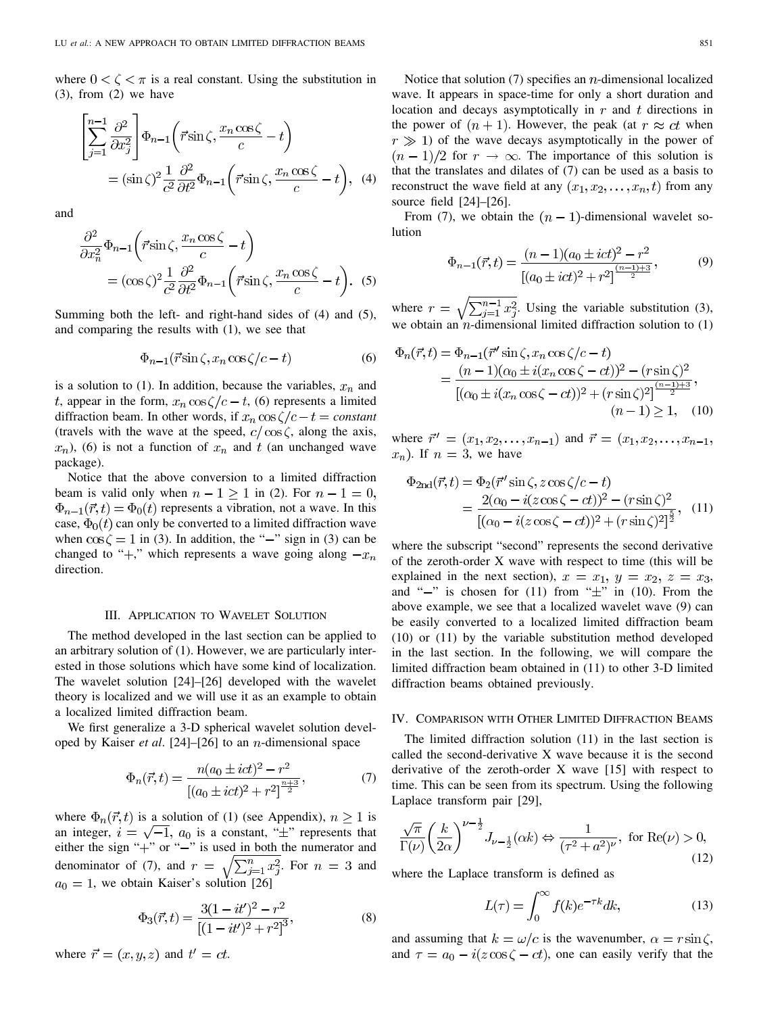where  $0 < \zeta < \pi$  is a real constant. Using the substitution in (3), from (2) we have

$$
\begin{split} \left[ \sum_{j=1}^{n-1} \frac{\partial^2}{\partial x_j^2} \right] \Phi_{n-1} \left( \vec{r} \sin \zeta, \frac{x_n \cos \zeta}{c} - t \right) \\ &= (\sin \zeta)^2 \frac{1}{c^2} \frac{\partial^2}{\partial t^2} \Phi_{n-1} \left( \vec{r} \sin \zeta, \frac{x_n \cos \zeta}{c} - t \right), \end{split} \tag{4}
$$

and

$$
\frac{\partial^2}{\partial x_n^2} \Phi_{n-1} \left( \vec{r} \sin \zeta, \frac{x_n \cos \zeta}{c} - t \right)
$$
  
=  $(\cos \zeta)^2 \frac{1}{c^2} \frac{\partial^2}{\partial t^2} \Phi_{n-1} \left( \vec{r} \sin \zeta, \frac{x_n \cos \zeta}{c} - t \right).$  (5)

Summing both the left- and right-hand sides of (4) and (5), and comparing the results with (1), we see that

$$
\Phi_{n-1}(\vec{r}\sin\zeta, x_n\cos\zeta/c - t) \tag{6}
$$

is a solution to (1). In addition, because the variables,  $x_n$  and t, appear in the form,  $x_n \cos \zeta/c - t$ , (6) represents a limited diffraction beam. In other words, if  $x_n \cos(\sqrt{c} - t) = constant$ (travels with the wave at the speed,  $c / \cos \zeta$ , along the axis,  $(x_n)$ , (6) is not a function of  $x_n$  and t (an unchanged wave package).

Notice that the above conversion to a limited diffraction beam is valid only when  $n - 1 \ge 1$  in (2). For  $n - 1 = 0$ ,  $\Phi_{n-1}(\vec{r},t) = \Phi_0(t)$  represents a vibration, not a wave. In this case,  $\Phi_0(t)$  can only be converted to a limited diffraction wave when  $\cos \zeta = 1$  in (3). In addition, the "-" sign in (3) can be changed to "+," which represents a wave going along  $-x_n$ direction.

# III. APPLICATION TO WAVELET SOLUTION

The method developed in the last section can be applied to an arbitrary solution of (1). However, we are particularly interested in those solutions which have some kind of localization. The wavelet solution [24]–[26] developed with the wavelet theory is localized and we will use it as an example to obtain a localized limited diffraction beam.

We first generalize a 3-D spherical wavelet solution developed by Kaiser *et al.* [24]–[26] to an *n*-dimensional space

$$
\Phi_n(\vec{r},t) = \frac{n(a_0 \pm ict)^2 - r^2}{[(a_0 \pm ict)^2 + r^2]^{\frac{n+3}{2}}},\tag{7}
$$

where  $\Phi_n(\vec{r}, t)$  is a solution of (1) (see Appendix),  $n \ge 1$  is an integer,  $i = \sqrt{-1}$ ,  $a_0$  is a constant, " $\pm$ " represents that either the sign " $+$ " or " $-$ " is used in both the numerator and denominator of (7), and  $r = \sqrt{\sum_{i=1}^{n} x_i^2}$ . For  $n = 3$  and , we obtain Kaiser's solution [26]

$$
\Phi_3(\vec{r},t) = \frac{3(1 - it')^2 - r^2}{[(1 - it')^2 + r^2]^3},\tag{8}
$$

where  $\vec{r} = (x, y, z)$  and  $t' = ct$ .

Notice that solution  $(7)$  specifies an *n*-dimensional localized wave. It appears in space-time for only a short duration and location and decays asymptotically in  $r$  and  $t$  directions in the power of  $(n + 1)$ . However, the peak (at  $r \approx ct$  when  $r \gg 1$ ) of the wave decays asymptotically in the power of  $(n-1)/2$  for  $r \to \infty$ . The importance of this solution is that the translates and dilates of (7) can be used as a basis to reconstruct the wave field at any  $(x_1, x_2, \ldots, x_n, t)$  from any source field [24]–[26].

From (7), we obtain the  $(n-1)$ -dimensional wavelet solution

$$
\Phi_{n-1}(\vec{r},t) = \frac{(n-1)(a_0 \pm i\epsilon t)^2 - r^2}{[(a_0 \pm i\epsilon t)^2 + r^2]^{\frac{(n-1)+3}{2}}},\tag{9}
$$

where  $r = \sqrt{\sum_{i=1}^{n-1} x_i^2}$ . Using the variable substitution (3), we obtain an  $n$ -dimensional limited diffraction solution to  $(1)$ 

$$
\Phi_n(\vec{r},t) = \Phi_{n-1}(\vec{r}' \sin \zeta, x_n \cos \zeta/c - t) \n= \frac{(n-1)(\alpha_0 \pm i(x_n \cos \zeta - ct))^2 - (r \sin \zeta)^2}{[(\alpha_0 \pm i(x_n \cos \zeta - ct))^2 + (r \sin \zeta)^2]^\frac{(n-1)+3}{2}}, \n(n-1) \ge 1, (10)
$$

where  $\vec{r}' = (x_1, x_2, \dots, x_{n-1})$  and  $\vec{r} = (x_1, x_2, \dots, x_{n-1},$  $x_n$ ). If  $n = 3$ , we have

$$
\Phi_{2\text{nd}}(\vec{r},t) = \Phi_2(\vec{r}'\sin\zeta, z\cos\zeta/c - t) \n= \frac{2(\alpha_0 - i(z\cos\zeta - ct))^2 - (r\sin\zeta)^2}{[(\alpha_0 - i(z\cos\zeta - ct))^2 + (r\sin\zeta)^2]^{\frac{5}{2}}}, (11)
$$

where the subscript "second" represents the second derivative of the zeroth-order X wave with respect to time (this will be explained in the next section),  $x = x_1, y = x_2, z = x_3$ , and " $-$ " is chosen for (11) from " $\pm$ " in (10). From the above example, we see that a localized wavelet wave (9) can be easily converted to a localized limited diffraction beam (10) or (11) by the variable substitution method developed in the last section. In the following, we will compare the limited diffraction beam obtained in (11) to other 3-D limited diffraction beams obtained previously.

## IV. COMPARISON WITH OTHER LIMITED DIFFRACTION BEAMS

The limited diffraction solution (11) in the last section is called the second-derivative X wave because it is the second derivative of the zeroth-order X wave [15] with respect to time. This can be seen from its spectrum. Using the following Laplace transform pair [29],

$$
\frac{\sqrt{\pi}}{\Gamma(\nu)} \left(\frac{k}{2\alpha}\right)^{\nu - \frac{1}{2}} J_{\nu - \frac{1}{2}}(\alpha k) \Leftrightarrow \frac{1}{(\tau^2 + a^2)^{\nu}}, \text{ for } \text{Re}(\nu) > 0,
$$
\n(12)

where the Laplace transform is defined as

$$
L(\tau) = \int_0^\infty f(k)e^{-\tau k} dk,\tag{13}
$$

and assuming that  $k = \omega/c$  is the wavenumber,  $\alpha = r \sin \zeta$ , and  $\tau = a_0 - i(z \cos \zeta - ct)$ , one can easily verify that the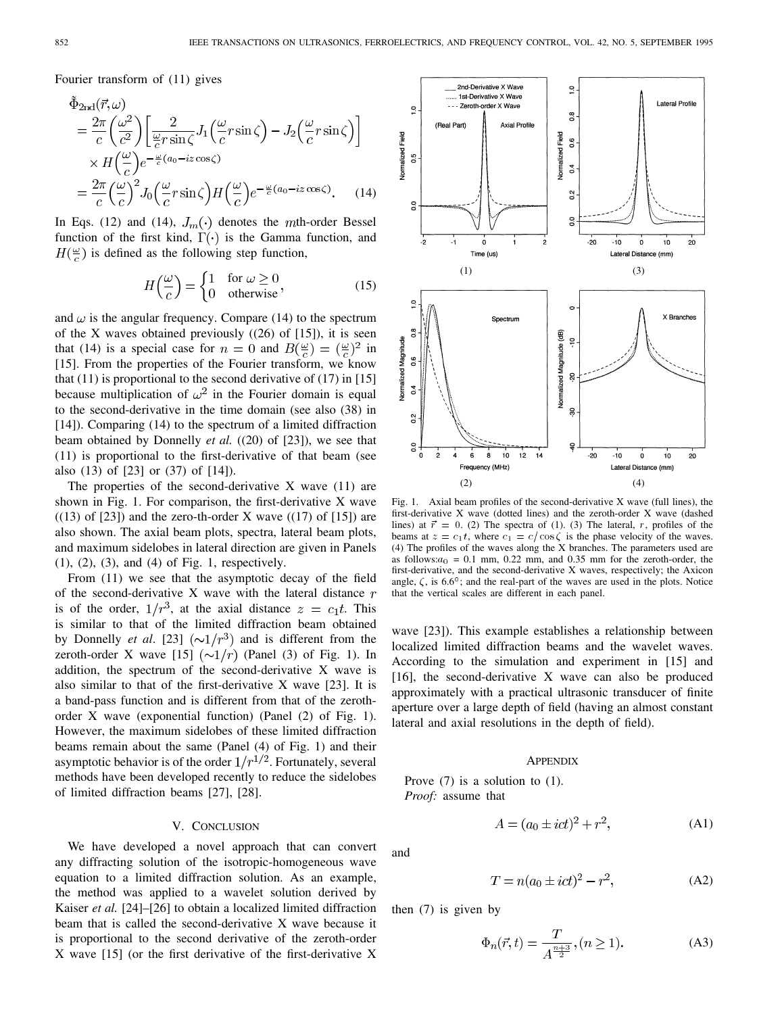Fourier transform of (11) gives

$$
\tilde{\Phi}_{2\text{nd}}(\vec{r}, \omega) \n= \frac{2\pi}{c} \left( \frac{\omega^2}{c^2} \right) \left[ \frac{2}{\frac{\omega}{c} r \sin \zeta} J_1 \left( \frac{\omega}{c} r \sin \zeta \right) - J_2 \left( \frac{\omega}{c} r \sin \zeta \right) \right] \n\times H \left( \frac{\omega}{c} \right) e^{-\frac{\omega}{c} (a_0 - iz \cos \zeta)} \n= \frac{2\pi}{c} \left( \frac{\omega}{c} \right)^2 J_0 \left( \frac{\omega}{c} r \sin \zeta \right) H \left( \frac{\omega}{c} \right) e^{-\frac{\omega}{c} (a_0 - iz \cos \zeta)}.
$$
\n(14)

In Eqs. (12) and (14),  $J_m(\cdot)$  denotes the mth-order Bessel function of the first kind,  $\Gamma(\cdot)$  is the Gamma function, and  $H(\frac{\omega}{c})$  is defined as the following step function,

$$
H\left(\frac{\omega}{c}\right) = \begin{cases} 1 & \text{for } \omega \ge 0 \\ 0 & \text{otherwise} \end{cases}
$$
 (15)

and  $\omega$  is the angular frequency. Compare (14) to the spectrum of the X waves obtained previously  $((26)$  of  $[15]$ ), it is seen that (14) is a special case for  $n = 0$  and  $B(\frac{\omega}{c}) = (\frac{\omega}{c})^2$  in [15]. From the properties of the Fourier transform, we know that  $(11)$  is proportional to the second derivative of  $(17)$  in  $[15]$ because multiplication of  $\omega^2$  in the Fourier domain is equal to the second-derivative in the time domain (see also (38) in [14]). Comparing (14) to the spectrum of a limited diffraction beam obtained by Donnelly *et al.* ((20) of [23]), we see that (11) is proportional to the first-derivative of that beam (see also (13) of [23] or (37) of [14]).

The properties of the second-derivative  $X$  wave  $(11)$  are shown in Fig. 1. For comparison, the first-derivative X wave  $((13)$  of [23]) and the zero-th-order X wave  $((17)$  of [15]) are also shown. The axial beam plots, spectra, lateral beam plots, and maximum sidelobes in lateral direction are given in Panels (1), (2), (3), and (4) of Fig. 1, respectively.

From (11) we see that the asymptotic decay of the field of the second-derivative X wave with the lateral distance  $r$ is of the order,  $1/r^3$ , at the axial distance  $z = c_1 t$ . This is similar to that of the limited diffraction beam obtained by Donnelly *et al.* [23]  $(\sim 1/r^3)$  and is different from the zeroth-order X wave [15]  $(\sim 1/r)$  (Panel (3) of Fig. 1). In addition, the spectrum of the second-derivative X wave is also similar to that of the first-derivative X wave [23]. It is a band-pass function and is different from that of the zerothorder X wave (exponential function) (Panel (2) of Fig. 1). However, the maximum sidelobes of these limited diffraction beams remain about the same (Panel (4) of Fig. 1) and their asymptotic behavior is of the order  $1/r^{1/2}$ . Fortunately, several methods have been developed recently to reduce the sidelobes of limited diffraction beams [27], [28].

# V. CONCLUSION

We have developed a novel approach that can convert any diffracting solution of the isotropic-homogeneous wave equation to a limited diffraction solution. As an example, the method was applied to a wavelet solution derived by Kaiser *et al.* [24]–[26] to obtain a localized limited diffraction beam that is called the second-derivative X wave because it is proportional to the second derivative of the zeroth-order X wave [15] (or the first derivative of the first-derivative X



Fig. 1. Axial beam profiles of the second-derivative X wave (full lines), the first-derivative X wave (dotted lines) and the zeroth-order X wave (dashed lines) at  $\vec{r} = 0$ . (2) The spectra of (1). (3) The lateral, r, profiles of the beams at  $z = c_1 t$ , where  $c_1 = c/\cos \zeta$  is the phase velocity of the waves. (4) The profiles of the waves along the X branches. The parameters used are as follows: $a_0 = 0.1$  mm, 0.22 mm, and 0.35 mm for the zeroth-order, the first-derivative, and the second-derivative X waves, respectively; the Axicon angle,  $\zeta$ , is 6.6°; and the real-part of the waves are used in the plots. Notice that the vertical scales are different in each panel.

wave [23]). This example establishes a relationship between localized limited diffraction beams and the wavelet waves. According to the simulation and experiment in [15] and  $[16]$ , the second-derivative X wave can also be produced approximately with a practical ultrasonic transducer of finite aperture over a large depth of field (having an almost constant lateral and axial resolutions in the depth of field).

# **APPENDIX**

Prove (7) is a solution to (1). *Proof:* assume that

$$
A = (a_0 \pm ict)^2 + r^2,
$$
 (A1)

and

$$
T = n(a_0 \pm ict)^2 - r^2,
$$
 (A2)

then (7) is given by

$$
\Phi_n(\vec{r}, t) = \frac{T}{A^{\frac{n+3}{2}}}, (n \ge 1).
$$
 (A3)